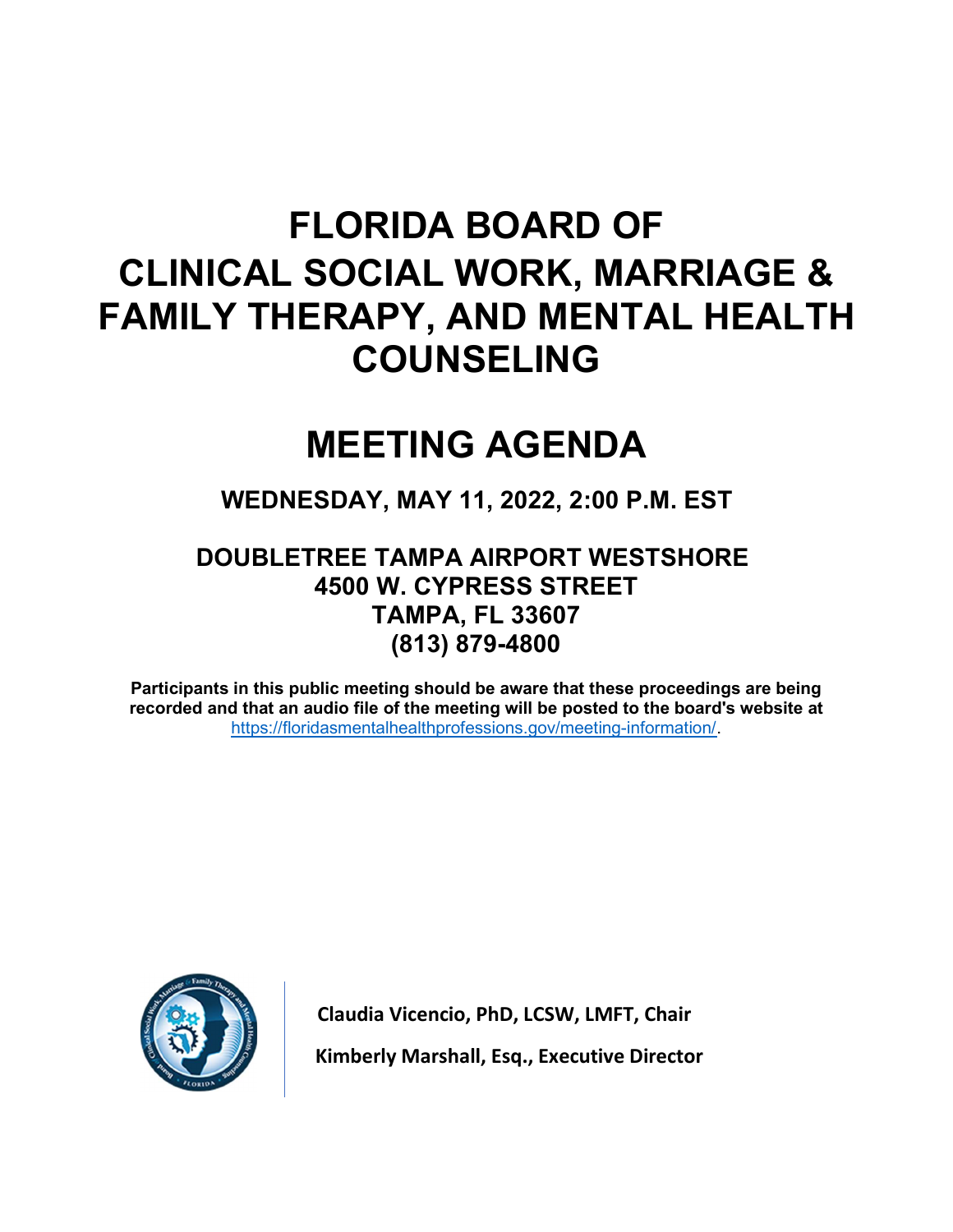# FLORIDA BOARD OF CLINICAL SOCIAL WORK, MARRIAGE & FAMILY THERAPY, AND MENTAL HEALTH COUNSELING

# MEETING AGENDA

# WEDNESDAY, MAY 11, 2022, 2:00 P.M. EST

# DOUBLETREE TAMPA AIRPORT WESTSHORE 4500 W. CYPRESS STREET TAMPA, FL 33607 (813) 879-4800

Participants in this public meeting should be aware that these proceedings are being recorded and that an audio file of the meeting will be posted to the board's website at https://floridasmentalhealthprofessions.gov/meeting-information/.



Claudia Vicencio, PhD, LCSW, LMFT, Chair Kimberly Marshall, Esq., Executive Director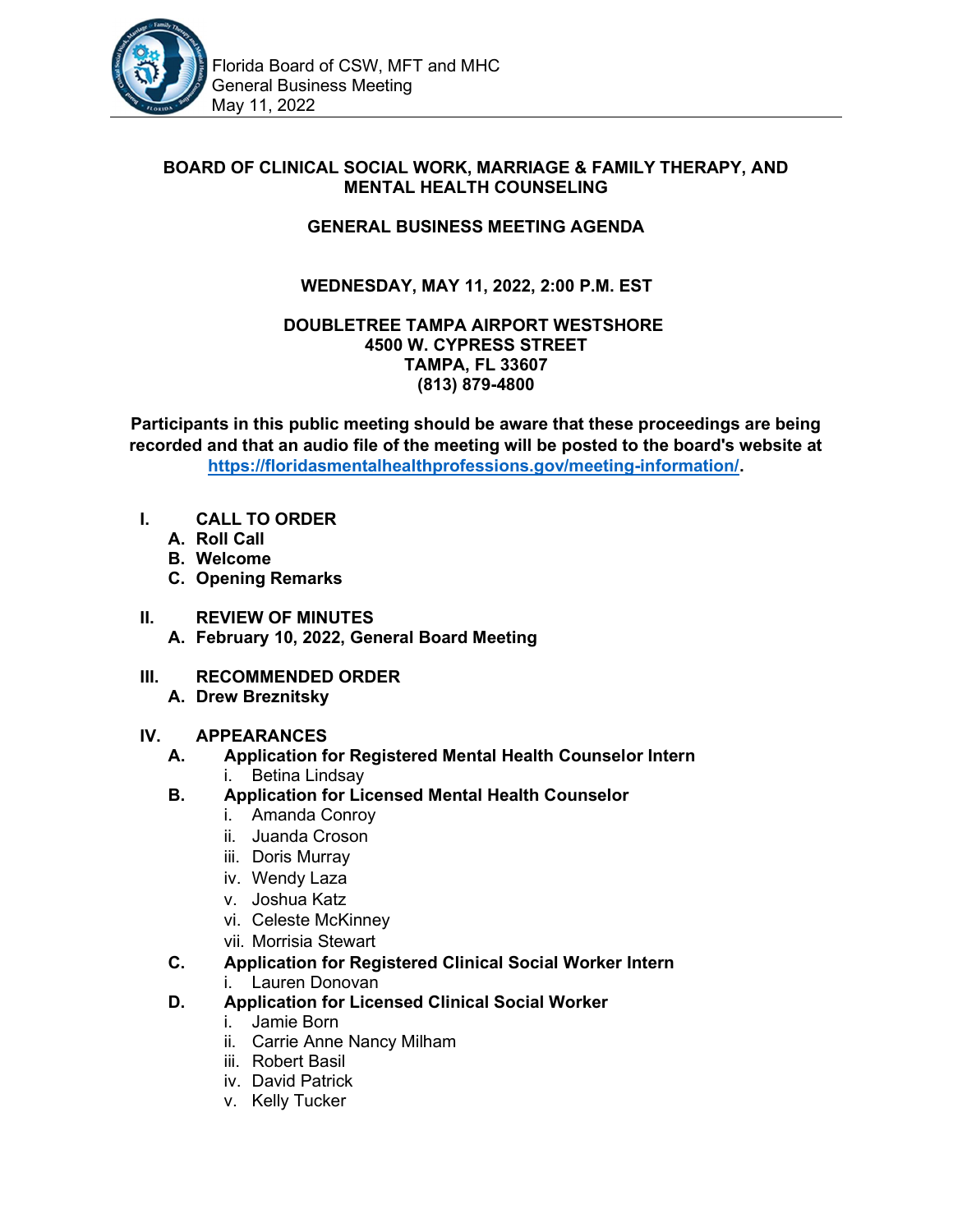

#### BOARD OF CLINICAL SOCIAL WORK, MARRIAGE & FAMILY THERAPY, AND MENTAL HEALTH COUNSELING

#### GENERAL BUSINESS MEETING AGENDA

## WEDNESDAY, MAY 11, 2022, 2:00 P.M. EST

#### DOUBLETREE TAMPA AIRPORT WESTSHORE 4500 W. CYPRESS STREET TAMPA, FL 33607 (813) 879-4800

Participants in this public meeting should be aware that these proceedings are being recorded and that an audio file of the meeting will be posted to the board's website at https://floridasmentalhealthprofessions.gov/meeting-information/.

- I. CALL TO ORDER
	- A. Roll Call
	- B. Welcome
	- C. Opening Remarks
- II. REVIEW OF MINUTES A. February 10, 2022, General Board Meeting
- III. RECOMMENDED ORDER
	- A. Drew Breznitsky

#### IV. APPEARANCES

- A. Application for Registered Mental Health Counselor Intern i. Betina Lindsay
- B. Application for Licensed Mental Health Counselor
	- i. Amanda Conroy
	- ii. Juanda Croson
	- iii. Doris Murray
	- iv. Wendy Laza
	- v. Joshua Katz
	- vi. Celeste McKinney
	- vii. Morrisia Stewart
- C. Application for Registered Clinical Social Worker Intern i. Lauren Donovan
- D. Application for Licensed Clinical Social Worker
	- i. Jamie Born
	- ii. Carrie Anne Nancy Milham
	- iii. Robert Basil
	- iv. David Patrick
	- v. Kelly Tucker